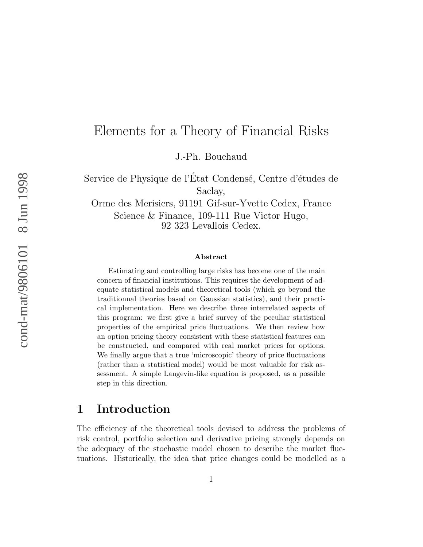# Elements for a Theory of Financial Risks

J.-Ph. Bouchaud

Service de Physique de l'État Condensé, Centre d'études de Saclay,

Orme des Merisiers, 91191 Gif-sur-Yvette Cedex, France Science & Finance, 109-111 Rue Victor Hugo, 92 323 Levallois Cedex.

#### **Abstract**

Estimating and controlling large risks has become one of the main concern of financial institutions. This requires the development of adequate statistical models and theoretical tools (which go beyond the traditionnal theories based on Gaussian statistics), and their practical implementation. Here we describe three interrelated aspects of this program: we first give a brief survey of the peculiar statistical properties of the empirical price fluctuations. We then review how an option pricing theory consistent with these statistical features can be constructed, and compared with real market prices for options. We finally argue that a true 'microscopic' theory of price fluctuations (rather than a statistical model) would be most valuable for risk assessment. A simple Langevin-like equation is proposed, as a possible step in this direction.

# **1 Introduction**

The efficiency of the theoretical tools devised to address the problems of risk control, portfolio selection and derivative pricing strongly depends on the adequacy of the stochastic model chosen to describe the market fluctuations. Historically, the idea that price changes could be modelled as a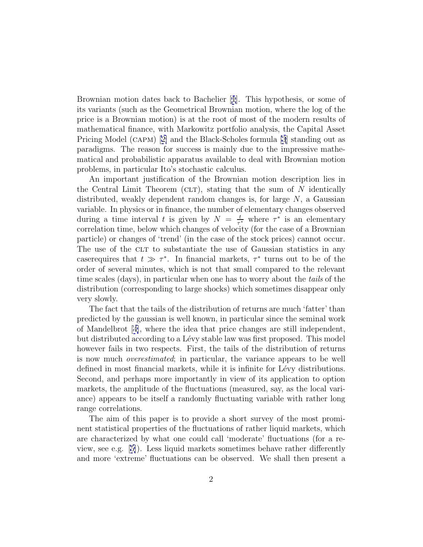Brownian motion dates back to Bachelier [[1](#page-19-0)]. This hypothesis, or some of its variants (such as the Geometrical Brownian motion, where the log of the price is a Brownian motion) is at the root of most of the modern results of mathematical finance, with Markowitz portfolio analysis, the Capital Asset Pricing Model (CAPM) [[2\]](#page-19-0) and the Black-Scholes formula [\[3](#page-19-0)] standing out as paradigms. The reason for success is mainly due to the impressive mathematical and probabilistic apparatus available to deal with Brownian motion problems, in particular Ito's stochastic calculus.

An important justification of the Brownian motion description lies in the Central Limit Theorem (CLT), stating that the sum of  $N$  identically distributed, weakly dependent random changes is, for large  $N$ , a Gaussian variable. In physics or in finance, the number of elementary changes observed during a time interval t is given by  $N = \frac{t}{\tau^*}$  where  $\tau^*$  is an elementary correlation time, below which changes of velocity (for the case of a Brownian particle) or changes of 'trend' (in the case of the stock prices) cannot occur. The use of the CLT to substantiate the use of Gaussian statistics in any case requires that  $t \gg \tau^*$ . In financial markets,  $\tau^*$  turns out to be of the order of several minutes, which is not that small compared to the relevant time scales (days), in particular when one has to worry about the tails of the distribution (corresponding to large shocks) which sometimes disappear only very slowly.

The fact that the tails of the distribution of returns are much 'fatter' than predicted by the gaussian is well known, in particular since the seminal work of Mandelbrot [[4\]](#page-19-0), where the idea that price changes are still independent, but distributed according to a L´evy stable law was first proposed. This model however fails in two respects. First, the tails of the distribution of returns is now much overestimated; in particular, the variance appears to be well defined in most financial markets, while it is infinite for Lévy distributions. Second, and perhaps more importantly in view of its application to option markets, the amplitude of the fluctuations (measured, say, as the local variance) appears to be itself a randomly fluctuating variable with rather long range correlations.

The aim of this paper is to provide a short survey of the most prominent statistical properties of the fluctuations of rather liquid markets, which are characterized by what one could call 'moderate' fluctuations (for a review, see e.g. [[5\]](#page-19-0)). Less liquid markets sometimes behave rather differently and more 'extreme' fluctuations can be observed. We shall then present a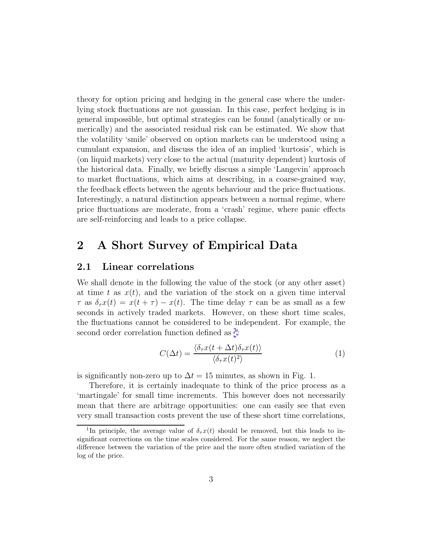<span id="page-2-0"></span>theory for option pricing and hedging in the general case where the underlying stock fluctuations are not gaussian. In this case, perfect hedging is in general impossible, but optimal strategies can be found (analytically or numerically) and the associated residual risk can be estimated. We show that the volatility 'smile' observed on option markets can be understood using a cumulant expansion, and discuss the idea of an implied 'kurtosis', which is (on liquid markets) very close to the actual (maturity dependent) kurtosis of the historical data. Finally, we briefly discuss a simple 'Langevin' approach to market fluctuations, which aims at describing, in a coarse-grained way, the feedback effects between the agents behaviour and the price fluctuations. Interestingly, a natural distinction appears between a normal regime, where price fluctuations are moderate, from a 'crash' regime, where panic effects are self-reinforcing and leads to a price collapse.

### **2 A Short Survey of Empirical Data**

#### **2.1 Linear correlations**

We shall denote in the following the value of the stock (or any other asset) at time t as  $x(t)$ , and the variation of the stock on a given time interval  $\tau$  as  $\delta_\tau x(t) = x(t + \tau) - x(t)$ . The time delay  $\tau$  can be as small as a few seconds in actively traded markets. However, on these short time scales, the fluctuations cannot be considered to be independent. For example, the second order correlation function defined as  $\frac{1}{1}$ :

$$
C(\Delta t) = \frac{\langle \delta_\tau x(t + \Delta t) \delta_\tau x(t) \rangle}{\langle \delta_\tau x(t)^2 \rangle} \tag{1}
$$

is significantly non-zero up to  $\Delta t = 15$  minutes, as shown in Fig. 1.

Therefore, it is certainly inadequate to think of the price process as a 'martingale' for small time increments. This however does not necessarily mean that there are arbitrage opportunities: one can easily see that even very small transaction costs prevent the use of these short time correlations,

<sup>&</sup>lt;sup>1</sup>In principle, the average value of  $\delta_\tau x(t)$  should be removed, but this leads to insignificant corrections on the time scales considered. For the same reason, we neglect the difference between the variation of the price and the more often studied variation of the log of the price.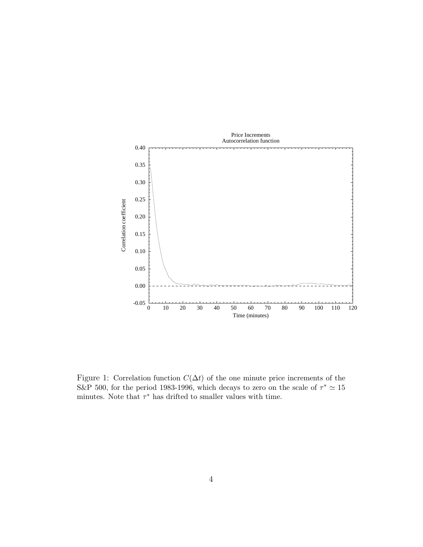

Figure 1: Correlation function  $C(\Delta t)$  of the one minute price increments of the S&P 500, for the period 1983-1996, which decays to zero on the scale of  $\tau^* \simeq 15$ minutes. Note that  $\tau^*$  has drifted to smaller values with time.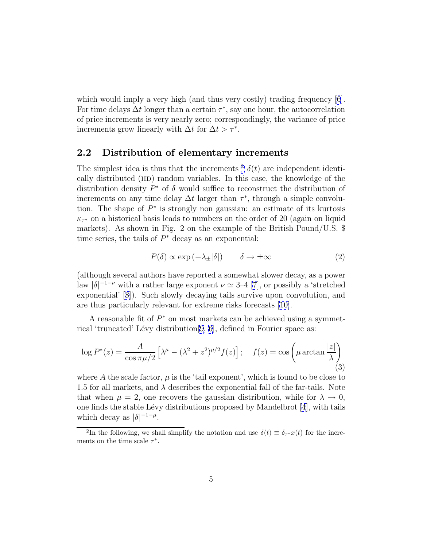<span id="page-4-0"></span>which would imply a very high (and thus very costly) trading frequency [[6](#page-19-0)]. For time delays  $\Delta t$  longer than a certain  $\tau^*$ , say one hour, the autocorrelation of price increments is very nearly zero; correspondingly, the variance of price increments grow linearly with  $\Delta t$  for  $\Delta t > \tau^*$ .

#### **2.2 Distribution of elementary increments**

The simplest idea is thus that the increments  $2 \delta(t)$  are independent identically distributed (IID) random variables. In this case, the knowledge of the distribution density  $P^*$  of  $\delta$  would suffice to reconstruct the distribution of increments on any time delay  $\Delta t$  larger than  $\tau^*$ , through a simple convolution. The shape of  $P^*$  is strongly non gaussian: an estimate of its kurtosis  $\kappa_{\tau^*}$  on a historical basis leads to numbers on the order of 20 (again on liquid markets). As shown in Fig. 2 on the example of the British Pound/U.S. \$ time series, the tails of  $P^*$  decay as an exponential:

$$
P(\delta) \propto \exp\left(-\lambda_{\pm}|\delta|\right) \qquad \delta \to \pm \infty \tag{2}
$$

(although several authors have reported a somewhat slower decay, as a power law  $|\delta|^{-1-\nu}$  with a rather large exponent  $\nu \simeq 3-4$  [\[7](#page-19-0)], or possibly a 'stretched exponential' [\[8](#page-19-0)]). Such slowly decaying tails survive upon convolution, and are thus particularly relevant for extreme risks forecasts [\[10\]](#page-20-0).

A reasonable fit of  $P^*$  on most markets can be achieved using a symmet-rical 'truncated' Lévy distribution<sup>[\[9, 6\]](#page-19-0)</sup>, defined in Fourier space as:

$$
\log P^*(z) = \frac{A}{\cos \pi \mu/2} \left[ \lambda^{\mu} - (\lambda^2 + z^2)^{\mu/2} f(z) \right]; \quad f(z) = \cos \left( \mu \arctan \frac{|z|}{\lambda} \right)
$$
\n(3)

where A the scale factor,  $\mu$  is the 'tail exponent', which is found to be close to 1.5 for all markets, and  $\lambda$  describes the exponential fall of the far-tails. Note that when  $\mu = 2$ , one recovers the gaussian distribution, while for  $\lambda \to 0$ , one finds the stable Lévy distributions proposed by Mandelbrot  $[4]$ , with tails which decay as  $|\delta|^{-1-\mu}$ .

<sup>&</sup>lt;sup>2</sup>In the following, we shall simplify the notation and use  $\delta(t) \equiv \delta_{\tau^*} x(t)$  for the increments on the time scale  $\tau^*$ .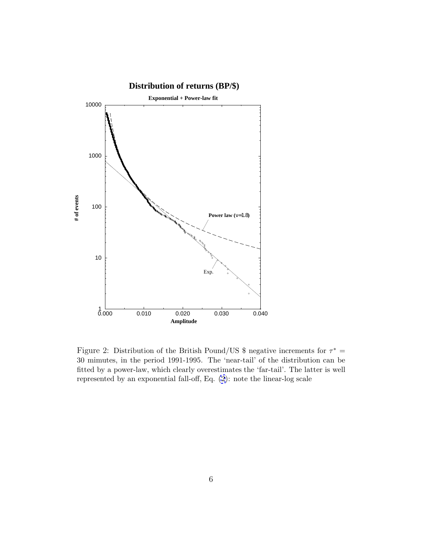

Figure 2: Distribution of the British Pound/US \$ negative increments for  $\tau^* =$ 30 mimutes, in the period 1991-1995. The 'near-tail' of the distribution can be fitted by a power-law, which clearly overestimates the 'far-tail'. The latter is well represented by an exponential fall-off, Eq. [\(2\)](#page-4-0): note the linear-log scale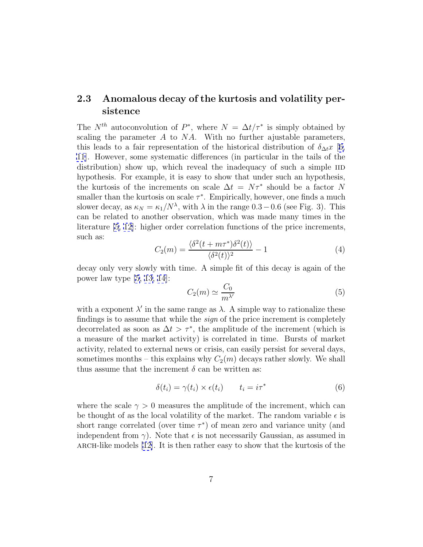### <span id="page-6-0"></span>**2.3 Anomalous decay of the kurtosis and volatility persistence**

The  $N^{th}$  autoconvolution of  $P^*$ , where  $N = \Delta t / \tau^*$  is simply obtained by scaling the parameter  $A$  to  $NA$ . With no further ajustable parameters, this leads to a fair representation of the historical distribution of  $\delta_{\Delta t} x$  [[6,](#page-19-0) [11](#page-20-0)]. However, some systematic differences (in particular in the tails of the distribution) show up, which reveal the inadequacy of such a simple IID hypothesis. For example, it is easy to show that under such an hypothesis, the kurtosis of the increments on scale  $\Delta t = N\tau^*$  should be a factor N smaller than the kurtosis on scale  $\tau^*$ . Empirically, however, one finds a much slower decay, as  $\kappa_N = \kappa_1/N^{\lambda}$ , with  $\lambda$  in the range 0.3 – 0.6 (see Fig. 3). This can be related to another observation, which was made many times in the literature [\[5](#page-19-0), [12](#page-20-0)]: higher order correlation functions of the price increments, such as:

$$
C_2(m) = \frac{\langle \delta^2(t + m\tau^*)\delta^2(t) \rangle}{\langle \delta^2(t) \rangle^2} - 1 \tag{4}
$$

decay only very slowly with time. A simple fit of this decay is again of the power law type [\[5](#page-19-0), [13](#page-20-0), [14\]](#page-20-0):

$$
C_2(m) \simeq \frac{C_0}{m^{\lambda'}}\tag{5}
$$

with a exponent  $\lambda'$  in the same range as  $\lambda$ . A simple way to rationalize these findings is to assume that while the sign of the price increment is completely decorrelated as soon as  $\Delta t > \tau^*$ , the amplitude of the increment (which is a measure of the market activity) is correlated in time. Bursts of market activity, related to external news or crisis, can easily persist for several days, sometimes months – this explains why  $C_2(m)$  decays rather slowly. We shall thus assume that the increment  $\delta$  can be written as:

$$
\delta(t_i) = \gamma(t_i) \times \epsilon(t_i) \qquad t_i = i\tau^*
$$
\n(6)

where the scale  $\gamma > 0$  measures the amplitude of the increment, which can be thought of as the local volatility of the market. The random variable  $\epsilon$  is short range correlated (over time  $\tau^*$ ) of mean zero and variance unity (and independent from  $\gamma$ ). Note that  $\epsilon$  is not necessarily Gaussian, as assumed in arch-like models [\[12\]](#page-20-0). It is then rather easy to show that the kurtosis of the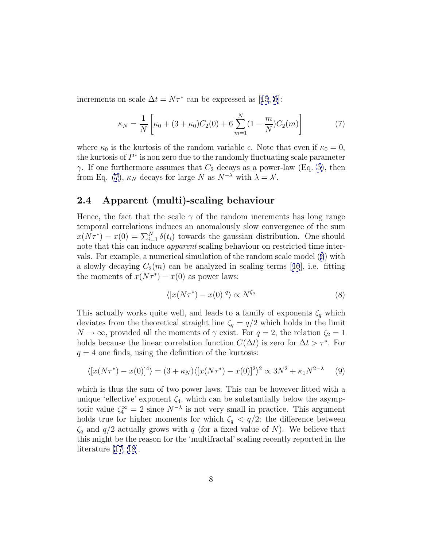increments on scale  $\Delta t = N\tau^*$  can be expressed as [[15](#page-20-0), [6](#page-19-0)]:

$$
\kappa_N = \frac{1}{N} \left[ \kappa_0 + (3 + \kappa_0) C_2(0) + 6 \sum_{m=1}^{N} (1 - \frac{m}{N}) C_2(m) \right]
$$
(7)

where  $\kappa_0$  is the kurtosis of the random variable  $\epsilon$ . Note that even if  $\kappa_0 = 0$ , the kurtosis of  $P^*$  is non zero due to the randomly fluctuating scale parameter γ. If one furthermore assumes that  $C_2$  decays as a power-law (Eq. [5](#page-6-0)), then from Eq. (7),  $\kappa_N$  decays for large N as  $N^{-\lambda}$  with  $\lambda = \lambda'$ .

### **2.4 Apparent (multi)-scaling behaviour**

Hence, the fact that the scale  $\gamma$  of the random increments has long range temporal correlations induces an anomalously slow convergence of the sum  $x(N\tau^*) - x(0) = \sum_{i=1}^N \delta(t_i)$  towards the gaussian distribution. One should note that this can induce apparent scaling behaviour on restricted time intervals. For example, a numerical simulation of the random scale model ([6](#page-6-0)) with a slowly decaying  $C_2(m)$  can be analyzed in scaling terms [[16](#page-20-0)], i.e. fitting the moments of  $x(N\tau^*) - x(0)$  as power laws:

$$
\langle |x(N\tau^*) - x(0)|^q \rangle \propto N^{\zeta_q} \tag{8}
$$

This actually works quite well, and leads to a family of exponents  $\zeta_q$  which deviates from the theoretical straight line  $\zeta_q = q/2$  which holds in the limit  $N \to \infty$ , provided all the moments of  $\gamma$  exist. For  $q = 2$ , the relation  $\zeta_2 = 1$ holds because the linear correlation function  $C(\Delta t)$  is zero for  $\Delta t > \tau^*$ . For  $q = 4$  one finds, using the definition of the kurtosis:

$$
\langle [x(N\tau^*) - x(0)]^4 \rangle = (3 + \kappa_N) \langle [x(N\tau^*) - x(0)]^2 \rangle^2 \propto 3N^2 + \kappa_1 N^{2-\lambda} \tag{9}
$$

which is thus the sum of two power laws. This can be however fitted with a unique 'effective' exponent  $\zeta_4$ , which can be substantially below the asymptotic value  $\zeta_4^{\infty} = 2$  since  $N^{-\lambda}$  is not very small in practice. This argument holds true for higher moments for which  $\zeta_q < q/2$ ; the difference between  $\zeta_q$  and  $q/2$  actually grows with q (for a fixed value of N). We believe that this might be the reason for the 'multifractal' scaling recently reported in the literature [[17, 18](#page-20-0)].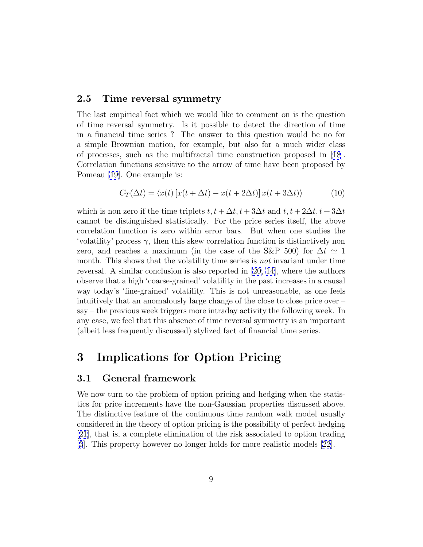#### **2.5 Time reversal symmetry**

The last empirical fact which we would like to comment on is the question of time reversal symmetry. Is it possible to detect the direction of time in a financial time series ? The answer to this question would be no for a simple Brownian motion, for example, but also for a much wider class of processes, such as the multifractal time construction proposed in [[18](#page-20-0)]. Correlation functions sensitive to the arrow of time have been proposed by Pomeau [\[19](#page-20-0)]. One example is:

$$
C_T(\Delta t) = \langle x(t) \left[ x(t + \Delta t) - x(t + 2\Delta t) \right] x(t + 3\Delta t) \rangle \tag{10}
$$

which is non zero if the time triplets  $t, t + \Delta t, t + 3\Delta t$  and  $t, t + 2\Delta t, t + 3\Delta t$ cannot be distinguished statistically. For the price series itself, the above correlation function is zero within error bars. But when one studies the 'volatility' process  $\gamma$ , then this skew correlation function is distinctively non zero, and reaches a maximum (in the case of the S&P 500) for  $\Delta t \simeq 1$ month. This shows that the volatility time series is *not* invariant under time reversal. A similar conclusion is also reported in [\[20](#page-20-0), [14](#page-20-0)], where the authors observe that a high 'coarse-grained' volatility in the past increases in a causal way today's 'fine-grained' volatility. This is not unreasonable, as one feels intuitively that an anomalously large change of the close to close price over – say – the previous week triggers more intraday activity the following week. In any case, we feel that this absence of time reversal symmetry is an important (albeit less frequently discussed) stylized fact of financial time series.

# **3 Implications for Option Pricing**

#### **3.1 General framework**

We now turn to the problem of option pricing and hedging when the statistics for price increments have the non-Gaussian properties discussed above. The distinctive feature of the continuous time random walk model usually considered in the theory of option pricing is the possibility of perfect hedging [[21](#page-20-0)], that is, a complete elimination of the risk associated to option trading [[3](#page-19-0)]. This property however no longer holds for more realistic models [\[22\]](#page-20-0).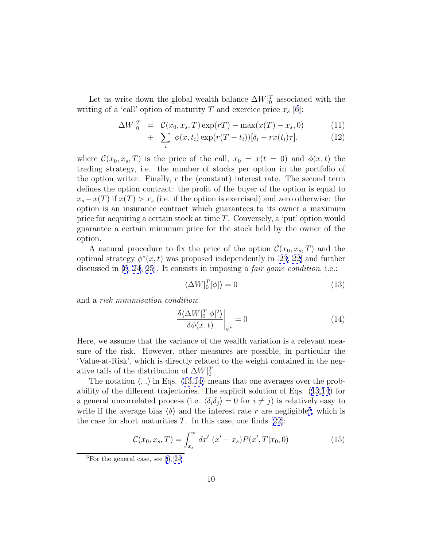<span id="page-9-0"></span>Let us write down the global wealth balance  $\Delta W|_{0}^{T}$  associated with the writing of a 'call' option of maturity T and exercice price  $x_s$  [\[6\]](#page-19-0):

$$
\Delta W|_{0}^{T} = \mathcal{C}(x_0, x_s, T) \exp(rT) - \max(x(T) - x_s, 0)
$$
 (11)

$$
+ \sum_{i} \phi(x, t_i) \exp(r(T - t_i))[\delta_i - rx(t_i)\tau], \qquad (12)
$$

where  $\mathcal{C}(x_0, x_s, T)$  is the price of the call,  $x_0 = x(t = 0)$  and  $\phi(x, t)$  the trading strategy, i.e. the number of stocks per option in the portfolio of the option writer. Finally,  $r$  the (constant) interest rate. The second term defines the option contract: the profit of the buyer of the option is equal to  $x_s-x(T)$  if  $x(T) > x_s$  (i.e. if the option is exercised) and zero otherwise: the option is an insurance contract which guarantees to its owner a maximum price for acquiring a certain stock at time T . Conversely, a 'put' option would guarantee a certain minimum price for the stock held by the owner of the option.

A natural procedure to fix the price of the option  $\mathcal{C}(x_0, x_s, T)$  and the optimal strategy  $\phi^*(x,t)$  was proposed independently in [\[23](#page-20-0), [22\]](#page-20-0) and further discussed in  $[6, 24, 25]$  $[6, 24, 25]$  $[6, 24, 25]$  $[6, 24, 25]$ . It consists in imposing a *fair game condition*, i.e.:

$$
\langle \Delta W|_0^T[\phi] \rangle = 0 \tag{13}
$$

and a risk minimisation condition:

$$
\left. \frac{\delta \langle \Delta W|_0^T[\phi]^2 \rangle}{\delta \phi(x,t)} \right|_{\phi^*} = 0 \tag{14}
$$

Here, we assume that the variance of the wealth variation is a relevant measure of the risk. However, other measures are possible, in particular the 'Value-at-Risk', which is directly related to the weight contained in the negative tails of the distribution of  $\Delta W|_0^T$ .

The notation  $\langle \ldots \rangle$  in Eqs. (13,14) means that one averages over the probability of the different trajectories. The explicit solution of Eqs. (13,14) for a general uncorrelated process (i.e.  $\langle \delta_i \delta_j \rangle = 0$  for  $i \neq j$ ) is relatively easy to write if the average bias  $\langle \delta \rangle$  and the interest rate r are negligible<sup>3</sup>, which is the case for short maturities T. In this case, one finds  $[22]$  $[22]$  $[22]$ :

$$
\mathcal{C}(x_0, x_s, T) = \int_{x_s}^{\infty} dx' \ (x' - x_s) P(x', T | x_0, 0)
$$
 (15)

<sup>&</sup>lt;sup>3</sup>For the general case, see [\[6](#page-19-0), [24\]](#page-20-0)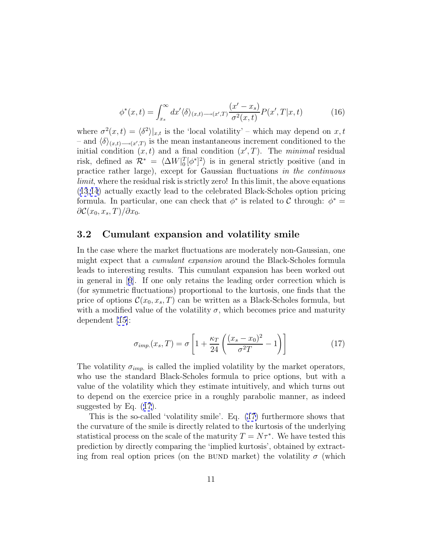$$
\phi^*(x,t) = \int_{x_s}^{\infty} dx' \langle \delta \rangle_{(x,t)} \dots_{(x',T)} \frac{(x'-x_s)}{\sigma^2(x,t)} P(x',T|x,t) \tag{16}
$$

where  $\sigma^2(x,t) = \langle \delta^2 \rangle |_{x,t}$  is the 'local volatility' – which may depend on  $x,t$ – and  $\langle \delta \rangle_{(x,t)\to (x',T)}$  is the mean instantaneous increment conditioned to the initial condition  $(x, t)$  and a final condition  $(x', T)$ . The minimal residual risk, defined as  $\mathcal{R}^* = \langle \Delta W |_{0}^{T} [\phi^*]^2 \rangle$  is in general strictly positive (and in practice rather large), except for Gaussian fluctuations in the continuous limit, where the residual risk is strictly zero! In this limit, the above equations ([13](#page-9-0),[14](#page-9-0)) actually exactly lead to the celebrated Black-Scholes option pricing formula. In particular, one can check that  $\phi^*$  is related to C through:  $\phi^* =$  $\partial \mathcal{C}(x_0, x_s, T)/\partial x_0$ .

#### **3.2 Cumulant expansion and volatility smile**

In the case where the market fluctuations are moderately non-Gaussian, one might expect that a cumulant expansion around the Black-Scholes formula leads to interesting results. This cumulant expansion has been worked out in general in [[6](#page-19-0)]. If one only retains the leading order correction which is (for symmetric fluctuations) proportional to the kurtosis, one finds that the price of options  $\mathcal{C}(x_0, x_s, T)$  can be written as a Black-Scholes formula, but with a modified value of the volatility  $\sigma$ , which becomes price and maturity dependent [\[15\]](#page-20-0):

$$
\sigma_{imp.}(x_s, T) = \sigma \left[ 1 + \frac{\kappa_T}{24} \left( \frac{(x_s - x_0)^2}{\sigma^2 T} - 1 \right) \right]
$$
\n(17)

The volatility  $\sigma_{imp}$  is called the implied volatility by the market operators, who use the standard Black-Scholes formula to price options, but with a value of the volatility which they estimate intuitively, and which turns out to depend on the exercice price in a roughly parabolic manner, as indeed suggested by Eq. (17).

This is the so-called 'volatility smile'. Eq. (17) furthermore shows that the curvature of the smile is directly related to the kurtosis of the underlying statistical process on the scale of the maturity  $T = N\tau^*$ . We have tested this prediction by directly comparing the 'implied kurtosis', obtained by extracting from real option prices (on the BUND market) the volatility  $\sigma$  (which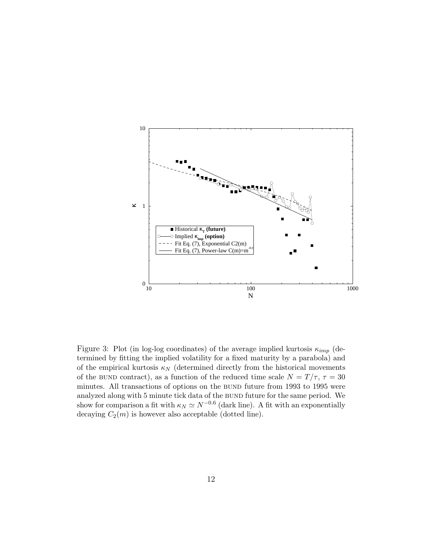

Figure 3: Plot (in log-log coordinates) of the average implied kurtosis  $\kappa_{imp}$  (determined by fitting the implied volatility for a fixed maturity by a parabola) and of the empirical kurtosis  $\kappa_N$  (determined directly from the historical movements of the BUND contract), as a function of the reduced time scale  $N = T/\tau$ ,  $\tau = 30$ minutes. All transactions of options on the bund future from 1993 to 1995 were analyzed along with 5 minute tick data of the BUND future for the same period. We show for comparison a fit with  $\kappa_N \simeq N^{-0.6}$  (dark line). A fit with an exponentially decaying  $C_2(m)$  is however also acceptable (dotted line).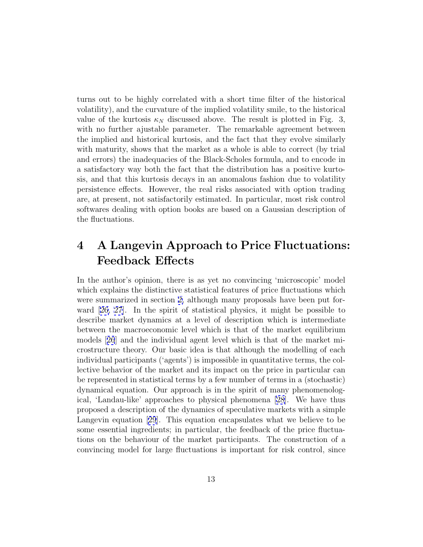turns out to be highly correlated with a short time filter of the historical volatility), and the curvature of the implied volatility smile, to the historical value of the kurtosis  $\kappa_N$  discussed above. The result is plotted in Fig. 3, with no further ajustable parameter. The remarkable agreement between the implied and historical kurtosis, and the fact that they evolve similarly with maturity, shows that the market as a whole is able to correct (by trial and errors) the inadequacies of the Black-Scholes formula, and to encode in a satisfactory way both the fact that the distribution has a positive kurtosis, and that this kurtosis decays in an anomalous fashion due to volatility persistence effects. However, the real risks associated with option trading are, at present, not satisfactorily estimated. In particular, most risk control softwares dealing with option books are based on a Gaussian description of the fluctuations.

# **4 A Langevin Approach to Price Fluctuations: Feedback Effects**

In the author's opinion, there is as yet no convincing 'microscopic' model which explains the distinctive statistical features of price fluctuations which were summarized in section [2,](#page-2-0) although many proposals have been put forward [\[26, 27](#page-21-0)]. In the spirit of statistical physics, it might be possible to describe market dynamics at a level of description which is intermediate between the macroeconomic level which is that of the market equilibrium models [[26](#page-21-0)] and the individual agent level which is that of the market microstructure theory. Our basic idea is that although the modelling of each individual participants ('agents') is impossible in quantitative terms, the collective behavior of the market and its impact on the price in particular can be represented in statistical terms by a few number of terms in a (stochastic) dynamical equation. Our approach is in the spirit of many phenomenological, 'Landau-like' approaches to physical phenomena [\[28\]](#page-21-0). We have thus proposed a description of the dynamics of speculative markets with a simple Langevin equation [[29](#page-21-0)]. This equation encapsulates what we believe to be some essential ingredients; in particular, the feedback of the price fluctuations on the behaviour of the market participants. The construction of a convincing model for large fluctuations is important for risk control, since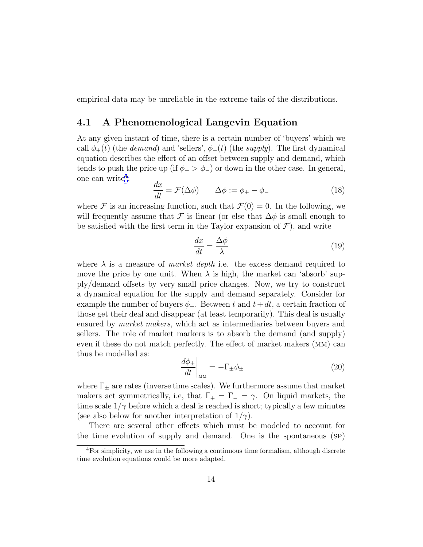empirical data may be unreliable in the extreme tails of the distributions.

#### **4.1 A Phenomenological Langevin Equation**

At any given instant of time, there is a certain number of 'buyers' which we call  $\phi_{+}(t)$  (the *demand*) and 'sellers',  $\phi_{-}(t)$  (the *supply*). The first dynamical equation describes the effect of an offset between supply and demand, which tends to push the price up (if  $\phi_+ > \phi_-$ ) or down in the other case. In general, one can write<sup>4</sup>:

$$
\frac{dx}{dt} = \mathcal{F}(\Delta \phi) \qquad \Delta \phi := \phi_+ - \phi_- \tag{18}
$$

where  $\mathcal F$  is an increasing function, such that  $\mathcal F(0) = 0$ . In the following, we will frequently assume that  $\mathcal F$  is linear (or else that  $\Delta \phi$  is small enough to be satisfied with the first term in the Taylor expansion of  $\mathcal{F}$ ), and write

$$
\frac{dx}{dt} = \frac{\Delta\phi}{\lambda} \tag{19}
$$

where  $\lambda$  is a measure of *market depth* i.e. the excess demand required to move the price by one unit. When  $\lambda$  is high, the market can 'absorb' supply/demand offsets by very small price changes. Now, we try to construct a dynamical equation for the supply and demand separately. Consider for example the number of buyers  $\phi_+$ . Between t and  $t+dt$ , a certain fraction of those get their deal and disappear (at least temporarily). This deal is usually ensured by market makers, which act as intermediaries between buyers and sellers. The role of market markers is to absorb the demand (and supply) even if these do not match perfectly. The effect of market makers (mm) can thus be modelled as:

$$
\left. \frac{d\phi_{\pm}}{dt} \right|_{\text{MM}} = -\Gamma_{\pm} \phi_{\pm} \tag{20}
$$

where  $\Gamma_{\pm}$  are rates (inverse time scales). We furthermore assume that market makers act symmetrically, i.e, that  $\Gamma_+ = \Gamma_- = \gamma$ . On liquid markets, the time scale  $1/\gamma$  before which a deal is reached is short; typically a few minutes (see also below for another interpretation of  $1/\gamma$ ).

There are several other effects which must be modeled to account for the time evolution of supply and demand. One is the spontaneous (sp)

<sup>4</sup>For simplicity, we use in the following a continuous time formalism, although discrete time evolution equations would be more adapted.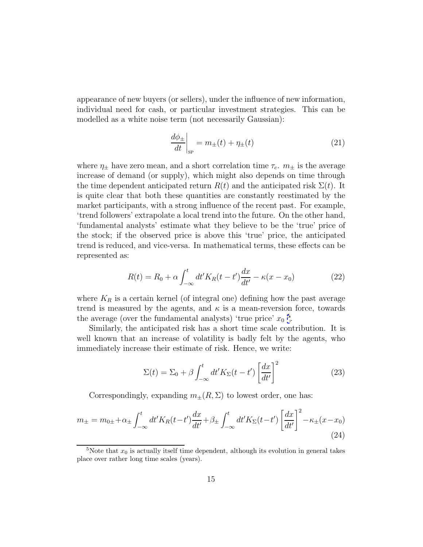<span id="page-14-0"></span>appearance of new buyers (or sellers), under the influence of new information, individual need for cash, or particular investment strategies. This can be modelled as a white noise term (not necessarily Gaussian):

$$
\left. \frac{d\phi_{\pm}}{dt} \right|_{\rm SP} = m_{\pm}(t) + \eta_{\pm}(t) \tag{21}
$$

where  $\eta_{\pm}$  have zero mean, and a short correlation time  $\tau_c$ .  $m_{\pm}$  is the average increase of demand (or supply), which might also depends on time through the time dependent anticipated return  $R(t)$  and the anticipated risk  $\Sigma(t)$ . It is quite clear that both these quantities are constantly reestimated by the market participants, with a strong influence of the recent past. For example, 'trend followers' extrapolate a local trend into the future. On the other hand, 'fundamental analysts' estimate what they believe to be the 'true' price of the stock; if the observed price is above this 'true' price, the anticipated trend is reduced, and vice-versa. In mathematical terms, these effects can be represented as:

$$
R(t) = R_0 + \alpha \int_{-\infty}^{t} dt' K_R(t - t') \frac{dx}{dt'} - \kappa (x - x_0)
$$
 (22)

where  $K_R$  is a certain kernel (of integral one) defining how the past average trend is measured by the agents, and  $\kappa$  is a mean-reversion force, towards the average (over the fundamental analysts) 'true price'  $x_0$ <sup>5</sup>.

Similarly, the anticipated risk has a short time scale contribution. It is well known that an increase of volatility is badly felt by the agents, who immediately increase their estimate of risk. Hence, we write:

$$
\Sigma(t) = \Sigma_0 + \beta \int_{-\infty}^t dt' K_\Sigma(t - t') \left[ \frac{dx}{dt'} \right]^2 \tag{23}
$$

Correspondingly, expanding  $m_{\pm}(R,\Sigma)$  to lowest order, one has:

$$
m_{\pm} = m_{0\pm} + \alpha_{\pm} \int_{-\infty}^{t} dt' K_R(t - t') \frac{dx}{dt'} + \beta_{\pm} \int_{-\infty}^{t} dt' K_{\Sigma}(t - t') \left[ \frac{dx}{dt'} \right]^2 - \kappa_{\pm} (x - x_0)
$$
\n(24)

<sup>&</sup>lt;sup>5</sup>Note that  $x_0$  is actually itself time dependent, although its evolution in general takes place over rather long time scales (years).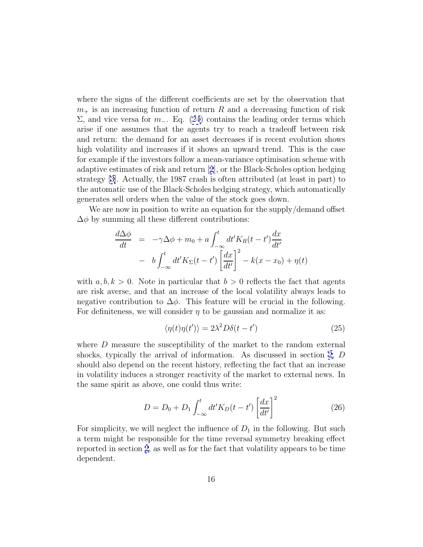where the signs of the different coefficients are set by the observation that  $m<sub>+</sub>$  is an increasing function of return R and a decreasing function of risk  $Σ$ , and vice versa for  $m_$ . Eq. [\(24\)](#page-14-0) contains the leading order terms which arise if one assumes that the agents try to reach a tradeoff between risk and return: the demand for an asset decreases if is recent evolution shows high volatility and increases if it shows an upward trend. This is the case for example if the investors follow a mean-variance optimisation scheme with adaptive estimates of risk and return [[2](#page-19-0)], or the Black-Scholes option hedging strategy [[3\]](#page-19-0). Actually, the 1987 crash is often attributed (at least in part) to the automatic use of the Black-Scholes hedging strategy, which automatically generates sell orders when the value of the stock goes down.

We are now in position to write an equation for the supply/demand offset  $\Delta\phi$  by summing all these different contributions:

$$
\frac{d\Delta\phi}{dt} = -\gamma\Delta\phi + m_0 + a \int_{-\infty}^t dt' K_R(t - t') \frac{dx}{dt'}
$$

$$
- b \int_{-\infty}^t dt' K_\Sigma(t - t') \left[ \frac{dx}{dt'} \right]^2 - k(x - x_0) + \eta(t)
$$

with  $a, b, k > 0$ . Note in particular that  $b > 0$  reflects the fact that agents are risk averse, and that an increase of the local volatility always leads to negative contribution to  $\Delta \phi$ . This feature will be crucial in the following. For definiteness, we will consider  $\eta$  to be gaussian and normalize it as:

$$
\langle \eta(t)\eta(t')\rangle = 2\lambda^2 D\delta(t - t')
$$
\n(25)

where  $D$  measure the susceptibility of the market to the random external shocks, typically the arrival of information. As discussed in section [2](#page-2-0), D should also depend on the recent history, reflecting the fact that an increase in volatility induces a stronger reactivity of the market to external news. In the same spirit as above, one could thus write:

$$
D = D_0 + D_1 \int_{-\infty}^t dt' K_D(t - t') \left[ \frac{dx}{dt'} \right]^2 \tag{26}
$$

For simplicity, we will neglect the influence of  $D_1$  in the following. But such a term might be responsible for the time reversal symmetry breaking effect reported in section [2](#page-2-0), as well as for the fact that volatility appears to be time dependent.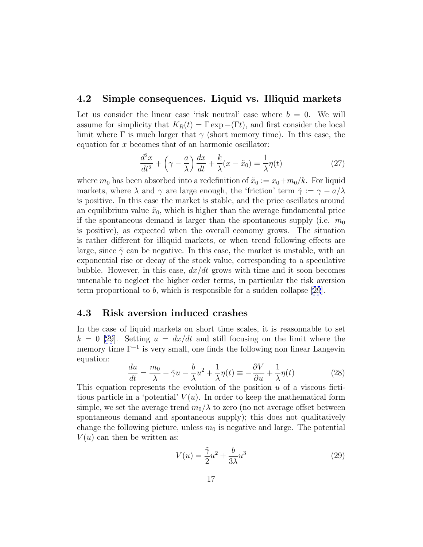#### **4.2 Simple consequences. Liquid vs. Illiquid markets**

Let us consider the linear case 'risk neutral' case where  $b = 0$ . We will assume for simplicity that  $K_R(t) = \Gamma \exp(-\Gamma t)$ , and first consider the local limit where  $\Gamma$  is much larger that  $\gamma$  (short memory time). In this case, the equation for  $x$  becomes that of an harmonic oscillator:

$$
\frac{d^2x}{dt^2} + \left(\gamma - \frac{a}{\lambda}\right)\frac{dx}{dt} + \frac{k}{\lambda}(x - \tilde{x}_0) = \frac{1}{\lambda}\eta(t)
$$
\n(27)

where  $m_0$  has been absorbed into a redefinition of  $\tilde{x}_0 := x_0 + m_0/k$ . For liquid markets, where  $\lambda$  and  $\gamma$  are large enough, the 'friction' term  $\tilde{\gamma} := \gamma - a/\lambda$ is positive. In this case the market is stable, and the price oscillates around an equilibrium value  $\tilde{x}_0$ , which is higher than the average fundamental price if the spontaneous demand is larger than the spontaneous supply (i.e.  $m_0$ ) is positive), as expected when the overall economy grows. The situation is rather different for illiquid markets, or when trend following effects are large, since  $\tilde{\gamma}$  can be negative. In this case, the market is unstable, with an exponential rise or decay of the stock value, corresponding to a speculative bubble. However, in this case,  $dx/dt$  grows with time and it soon becomes untenable to neglect the higher order terms, in particular the risk aversion term proportional to b, which is responsible for a sudden collapse [[29](#page-21-0)].

#### **4.3 Risk aversion induced crashes**

In the case of liquid markets on short time scales, it is reasonnable to set  $k = 0$  [\[29\]](#page-21-0). Setting  $u = dx/dt$  and still focusing on the limit where the memory time  $\Gamma^{-1}$  is very small, one finds the following non linear Langevin equation:

$$
\frac{du}{dt} = \frac{m_0}{\lambda} - \tilde{\gamma}u - \frac{b}{\lambda}u^2 + \frac{1}{\lambda}\eta(t) \equiv -\frac{\partial V}{\partial u} + \frac{1}{\lambda}\eta(t)
$$
\n(28)

This equation represents the evolution of the position  $u$  of a viscous fictitious particle in a 'potential'  $V(u)$ . In order to keep the mathematical form simple, we set the average trend  $m_0/\lambda$  to zero (no net average offset between spontaneous demand and spontaneous supply); this does not qualitatively change the following picture, unless  $m_0$  is negative and large. The potential  $V(u)$  can then be written as:

$$
V(u) = \frac{\tilde{\gamma}}{2}u^2 + \frac{b}{3\lambda}u^3\tag{29}
$$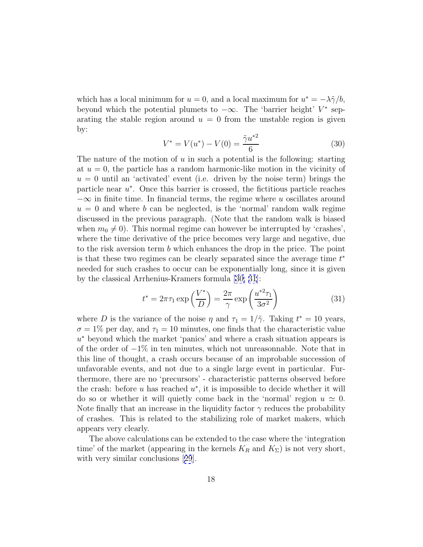which has a local minimum for  $u = 0$ , and a local maximum for  $u^* = -\lambda \tilde{\gamma}/b$ , beyond which the potential plumets to  $-\infty$ . The 'barrier height'  $V^*$  separating the stable region around  $u = 0$  from the unstable region is given by:

$$
V^* = V(u^*) - V(0) = \frac{\tilde{\gamma}u^{*2}}{6}
$$
 (30)

The nature of the motion of u in such a potential is the following: starting at  $u = 0$ , the particle has a random harmonic-like motion in the vicinity of  $u = 0$  until an 'activated' event (i.e. driven by the noise term) brings the particle near u∗. Once this barrier is crossed, the fictitious particle reaches  $-\infty$  in finite time. In financial terms, the regime where u oscillates around  $u = 0$  and where b can be neglected, is the 'normal' random walk regime discussed in the previous paragraph. (Note that the random walk is biased when  $m_0 \neq 0$ . This normal regime can however be interrupted by 'crashes', where the time derivative of the price becomes very large and negative, due to the risk aversion term b which enhances the drop in the price. The point is that these two regimes can be clearly separated since the average time  $t^*$ needed for such crashes to occur can be exponentially long, since it is given by the classical Arrhenius-Kramers formula [[30, 31](#page-21-0)]:

$$
t^* = 2\pi\tau_1 \exp\left(\frac{V^*}{D}\right) = \frac{2\pi}{\gamma} \exp\left(\frac{u^{*2}\tau_1}{3\sigma^2}\right)
$$
(31)

where D is the variance of the noise  $\eta$  and  $\tau_1 = 1/\tilde{\gamma}$ . Taking  $t^* = 10$  years,  $\sigma = 1\%$  per day, and  $\tau_1 = 10$  minutes, one finds that the characteristic value u<sup>∗</sup> beyond which the market 'panics' and where a crash situation appears is of the order of −1% in ten minutes, which not unreasonnable. Note that in this line of thought, a crash occurs because of an improbable succession of unfavorable events, and not due to a single large event in particular. Furthermore, there are no 'precursors' - characteristic patterns observed before the crash: before u has reached  $u^*$ , it is impossible to decide whether it will do so or whether it will quietly come back in the 'normal' region  $u \approx 0$ . Note finally that an increase in the liquidity factor  $\gamma$  reduces the probability of crashes. This is related to the stabilizing role of market makers, which appears very clearly.

The above calculations can be extended to the case where the 'integration time' of the market (appearing in the kernels  $K_R$  and  $K_\Sigma$ ) is not very short, with very similar conclusions [[29](#page-21-0)].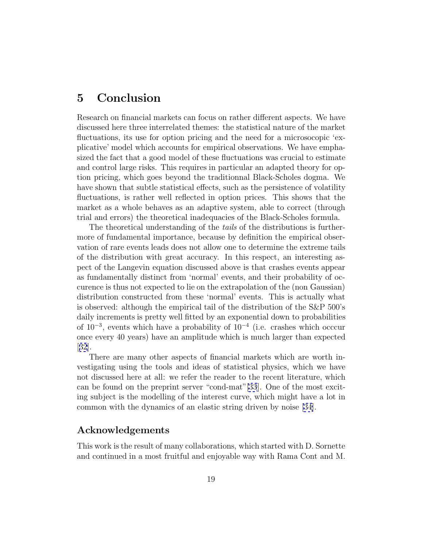## **5 Conclusion**

Research on financial markets can focus on rather different aspects. We have discussed here three interrelated themes: the statistical nature of the market fluctuations, its use for option pricing and the need for a microsocopic 'explicative' model which accounts for empirical observations. We have emphasized the fact that a good model of these fluctuations was crucial to estimate and control large risks. This requires in particular an adapted theory for option pricing, which goes beyond the traditionnal Black-Scholes dogma. We have shown that subtle statistical effects, such as the persistence of volatility fluctuations, is rather well reflected in option prices. This shows that the market as a whole behaves as an adaptive system, able to correct (through trial and errors) the theoretical inadequacies of the Black-Scholes formula.

The theoretical understanding of the *tails* of the distributions is furthermore of fundamental importance, because by definition the empirical observation of rare events leads does not allow one to determine the extreme tails of the distribution with great accuracy. In this respect, an interesting aspect of the Langevin equation discussed above is that crashes events appear as fundamentally distinct from 'normal' events, and their probability of occurence is thus not expected to lie on the extrapolation of the (non Gaussian) distribution constructed from these 'normal' events. This is actually what is observed: although the empirical tail of the distribution of the S&P 500's daily increments is pretty well fitted by an exponential down to probabilities of  $10^{-3}$ , events which have a probability of  $10^{-4}$  (i.e. crashes which occcur once every 40 years) have an amplitude which is much larger than expected [[32](#page-21-0)].

There are many other aspects of financial markets which are worth investigating using the tools and ideas of statistical physics, which we have not discussed here at all: we refer the reader to the recent literature, which can be found on the preprint server "cond-mat"[\[33](#page-21-0)]. One of the most exciting subject is the modelling of the interest curve, which might have a lot in common with the dynamics of an elastic string driven by noise [\[34\]](#page-21-0).

### **Acknowledgements**

This work is the result of many collaborations, which started with D. Sornette and continued in a most fruitful and enjoyable way with Rama Cont and M.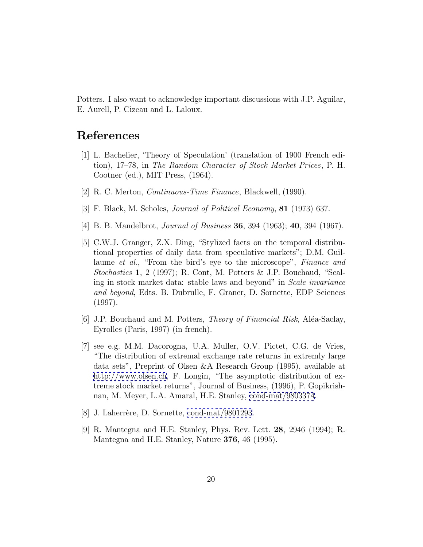<span id="page-19-0"></span>Potters. I also want to acknowledge important discussions with J.P. Aguilar, E. Aurell, P. Cizeau and L. Laloux.

# **References**

- [1] L. Bachelier, 'Theory of Speculation' (translation of 1900 French edition), 17–78, in The Random Character of Stock Market Prices, P. H. Cootner (ed.), MIT Press, (1964).
- [2] R. C. Merton, Continuous-Time Finance, Blackwell, (1990).
- [3] F. Black, M. Scholes, Journal of Political Economy, **81** (1973) 637.
- [4] B. B. Mandelbrot, Journal of Business **36**, 394 (1963); **40**, 394 (1967).
- [5] C.W.J. Granger, Z.X. Ding, "Stylized facts on the temporal distributional properties of daily data from speculative markets"; D.M. Guillaume et al., "From the bird's eye to the microscope", Finance and Stochastics **1**, 2 (1997); R. Cont, M. Potters & J.P. Bouchaud, "Scaling in stock market data: stable laws and beyond" in Scale invariance and beyond, Edts. B. Dubrulle, F. Graner, D. Sornette, EDP Sciences (1997).
- [6] J.P. Bouchaud and M. Potters, *Theory of Financial Risk*, Aléa-Saclay, Eyrolles (Paris, 1997) (in french).
- [7] see e.g. M.M. Dacorogna, U.A. Muller, O.V. Pictet, C.G. de Vries, "The distribution of extremal exchange rate returns in extremly large data sets", Preprint of Olsen &A Research Group (1995), available at <http://www.olsen.ch>, F. Longin, "The asymptotic distribution of extreme stock market returns", Journal of Business, (1996), P. Gopikrishnan, M. Meyer, L.A. Amaral, H.E. Stanley, [cond-mat/9803374](http://xxx.lanl.gov/abs/cond-mat/9803374).
- [8] J. Laherrère, D. Sornette, [cond-mat/9801293](http://xxx.lanl.gov/abs/cond-mat/9801293).
- [9] R. Mantegna and H.E. Stanley, Phys. Rev. Lett. **28**, 2946 (1994); R. Mantegna and H.E. Stanley, Nature **376**, 46 (1995).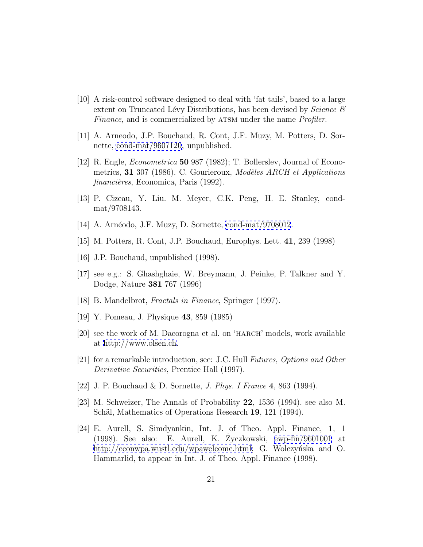- <span id="page-20-0"></span>[10] A risk-control software designed to deal with 'fat tails', based to a large extent on Truncated Lévy Distributions, has been devised by *Science*  $\mathcal{C}$ Finance, and is commercialized by ATSM under the name *Profiler*.
- [11] A. Arneodo, J.P. Bouchaud, R. Cont, J.F. Muzy, M. Potters, D. Sornette, [cond-mat/9607120](http://xxx.lanl.gov/abs/cond-mat/9607120), unpublished.
- [12] R. Engle, Econometrica **50** 987 (1982); T. Bollerslev, Journal of Econometrics, 31 307 (1986). C. Gourieroux, Modèles ARCH et Applications financières, Economica, Paris (1992).
- [13] P. Cizeau, Y. Liu. M. Meyer, C.K. Peng, H. E. Stanley, condmat/9708143.
- [14] A. Arnéodo, J.F. Muzy, D. Sornette, [cond-mat/9708012](http://xxx.lanl.gov/abs/cond-mat/9708012).
- [15] M. Potters, R. Cont, J.P. Bouchaud, Europhys. Lett. **41**, 239 (1998)
- [16] J.P. Bouchaud, unpublished (1998).
- [17] see e.g.: S. Ghashghaie, W. Breymann, J. Peinke, P. Talkner and Y. Dodge, Nature **381** 767 (1996)
- [18] B. Mandelbrot, Fractals in Finance, Springer (1997).
- [19] Y. Pomeau, J. Physique **43**, 859 (1985)
- [20] see the work of M. Dacorogna et al. on 'harch' models, work available at<http://www.olsen.ch>.
- [21] for a remarkable introduction, see: J.C. Hull Futures, Options and Other Derivative Securities, Prentice Hall (1997).
- [22] J. P. Bouchaud & D. Sornette, J. Phys. I France **4**, 863 (1994).
- [23] M. Schweizer, The Annals of Probability **22**, 1536 (1994). see also M. Schäl, Mathematics of Operations Research 19, 121 (1994).
- [24] E. Aurell, S. Simdyankin, Int. J. of Theo. Appl. Finance, **1**, 1 (1998). See also: E. Aurell, K. Zyczkowski,  $\exp-fin/9601001$  at <http://econwpa.wustl.edu/wpawelcome.html>; G. Wolczyńska and O. Hammarlid, to appear in Int. J. of Theo. Appl. Finance (1998).